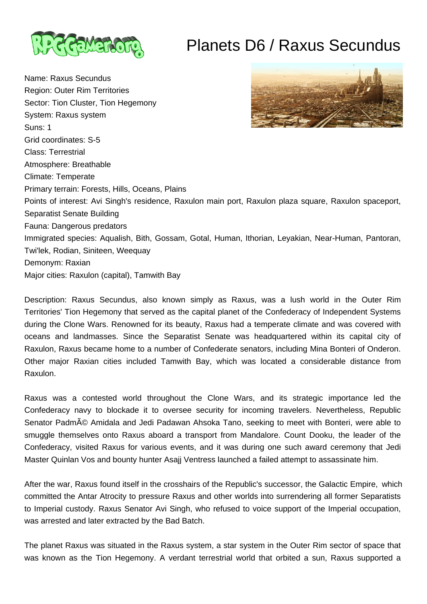

# Planets D6 / Raxus Secundus

Name: Raxus Secundus Region: Outer Rim Territories Sector: Tion Cluster, Tion Hegemony System: Raxus system Suns: 1 Grid coordinates: S-5 Class: Terrestrial Atmosphere: Breathable Climate: Temperate Primary terrain: Forests, Hills, Oceans, Plains Points of interest: Avi Singh's residence, Raxulon main port, Raxulon plaza square, Raxulon spaceport, Separatist Senate Building Fauna: Dangerous predators Immigrated species: Aqualish, Bith, Gossam, Gotal, Human, Ithorian, Leyakian, Near-Human, Pantoran, Twi'lek, Rodian, Siniteen, Weequay Demonym: Raxian Major cities: Raxulon (capital), Tamwith Bay

Description: Raxus Secundus, also known simply as Raxus, was a lush world in the Outer Rim Territories' Tion Hegemony that served as the capital planet of the Confederacy of Independent Systems during the Clone Wars. Renowned for its beauty, Raxus had a temperate climate and was covered with oceans and landmasses. Since the Separatist Senate was headquartered within its capital city of Raxulon, Raxus became home to a number of Confederate senators, including Mina Bonteri of Onderon. Other major Raxian cities included Tamwith Bay, which was located a considerable distance from Raxulon.

Raxus was a contested world throughout the Clone Wars, and its strategic importance led the Confederacy navy to blockade it to oversee security for incoming travelers. Nevertheless, Republic Senator Padmé Amidala and Jedi Padawan Ahsoka Tano, seeking to meet with Bonteri, were able to smuggle themselves onto Raxus aboard a transport from Mandalore. Count Dooku, the leader of the Confederacy, visited Raxus for various events, and it was during one such award ceremony that Jedi Master Quinlan Vos and bounty hunter Asajj Ventress launched a failed attempt to assassinate him.

After the war, Raxus found itself in the crosshairs of the Republic's successor, the Galactic Empire, which committed the Antar Atrocity to pressure Raxus and other worlds into surrendering all former Separatists to Imperial custody. Raxus Senator Avi Singh, who refused to voice support of the Imperial occupation, was arrested and later extracted by the Bad Batch.

The planet Raxus was situated in the Raxus system, a star system in the Outer Rim sector of space that was known as the Tion Hegemony. A verdant terrestrial world that orbited a sun, Raxus supported a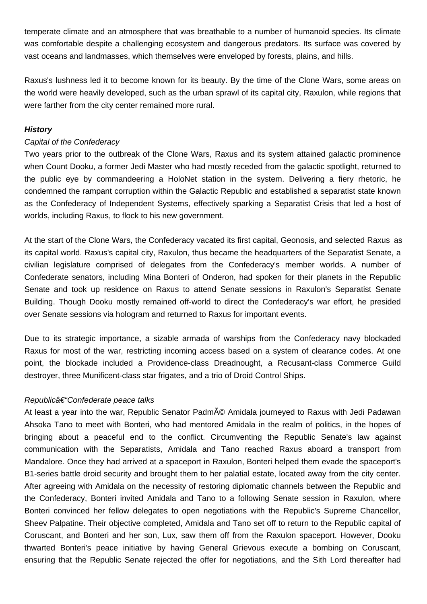temperate climate and an atmosphere that was breathable to a number of humanoid species. Its climate was comfortable despite a challenging ecosystem and dangerous predators. Its surface was covered by vast oceans and landmasses, which themselves were enveloped by forests, plains, and hills.

Raxus's lushness led it to become known for its beauty. By the time of the Clone Wars, some areas on the world were heavily developed, such as the urban sprawl of its capital city, Raxulon, while regions that were farther from the city center remained more rural.

# **History**

# Capital of the Confederacy

Two years prior to the outbreak of the Clone Wars, Raxus and its system attained galactic prominence when Count Dooku, a former Jedi Master who had mostly receded from the galactic spotlight, returned to the public eye by commandeering a HoloNet station in the system. Delivering a fiery rhetoric, he condemned the rampant corruption within the Galactic Republic and established a separatist state known as the Confederacy of Independent Systems, effectively sparking a Separatist Crisis that led a host of worlds, including Raxus, to flock to his new government.

At the start of the Clone Wars, the Confederacy vacated its first capital, Geonosis, and selected Raxus as its capital world. Raxus's capital city, Raxulon, thus became the headquarters of the Separatist Senate, a civilian legislature comprised of delegates from the Confederacy's member worlds. A number of Confederate senators, including Mina Bonteri of Onderon, had spoken for their planets in the Republic Senate and took up residence on Raxus to attend Senate sessions in Raxulon's Separatist Senate Building. Though Dooku mostly remained off-world to direct the Confederacy's war effort, he presided over Senate sessions via hologram and returned to Raxus for important events.

Due to its strategic importance, a sizable armada of warships from the Confederacy navy blockaded Raxus for most of the war, restricting incoming access based on a system of clearance codes. At one point, the blockade included a Providence-class Dreadnought, a Recusant-class Commerce Guild destroyer, three Munificent-class star frigates, and a trio of Droid Control Ships.

# Republic†"Confederate peace talks

At least a year into the war, Republic Senator Padmé Amidala journeyed to Raxus with Jedi Padawan Ahsoka Tano to meet with Bonteri, who had mentored Amidala in the realm of politics, in the hopes of bringing about a peaceful end to the conflict. Circumventing the Republic Senate's law against communication with the Separatists, Amidala and Tano reached Raxus aboard a transport from Mandalore. Once they had arrived at a spaceport in Raxulon, Bonteri helped them evade the spaceport's B1-series battle droid security and brought them to her palatial estate, located away from the city center. After agreeing with Amidala on the necessity of restoring diplomatic channels between the Republic and the Confederacy, Bonteri invited Amidala and Tano to a following Senate session in Raxulon, where Bonteri convinced her fellow delegates to open negotiations with the Republic's Supreme Chancellor, Sheev Palpatine. Their objective completed, Amidala and Tano set off to return to the Republic capital of Coruscant, and Bonteri and her son, Lux, saw them off from the Raxulon spaceport. However, Dooku thwarted Bonteri's peace initiative by having General Grievous execute a bombing on Coruscant, ensuring that the Republic Senate rejected the offer for negotiations, and the Sith Lord thereafter had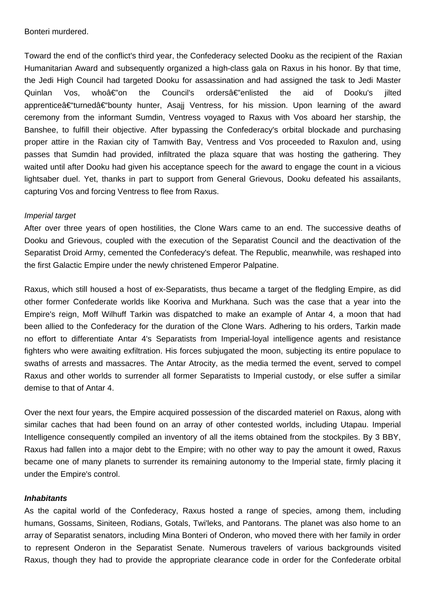Bonteri murdered.

Toward the end of the conflict's third year, the Confederacy selected Dooku as the recipient of the Raxian Humanitarian Award and subsequently organized a high-class gala on Raxus in his honor. By that time, the Jedi High Council had targeted Dooku for assassination and had assigned the task to Jedi Master Quinlan Vos, whoâ $\epsilon$ "on the Council's ordersa $\epsilon$ "enlisted the aid of Dooku's iilted apprentice–turned–bounty hunter, Asajj Ventress, for his mission. Upon learning of the award ceremony from the informant Sumdin, Ventress voyaged to Raxus with Vos aboard her starship, the Banshee, to fulfill their objective. After bypassing the Confederacy's orbital blockade and purchasing proper attire in the Raxian city of Tamwith Bay, Ventress and Vos proceeded to Raxulon and, using passes that Sumdin had provided, infiltrated the plaza square that was hosting the gathering. They waited until after Dooku had given his acceptance speech for the award to engage the count in a vicious lightsaber duel. Yet, thanks in part to support from General Grievous, Dooku defeated his assailants, capturing Vos and forcing Ventress to flee from Raxus.

# Imperial target

After over three years of open hostilities, the Clone Wars came to an end. The successive deaths of Dooku and Grievous, coupled with the execution of the Separatist Council and the deactivation of the Separatist Droid Army, cemented the Confederacy's defeat. The Republic, meanwhile, was reshaped into the first Galactic Empire under the newly christened Emperor Palpatine.

Raxus, which still housed a host of ex-Separatists, thus became a target of the fledgling Empire, as did other former Confederate worlds like Kooriva and Murkhana. Such was the case that a year into the Empire's reign, Moff Wilhuff Tarkin was dispatched to make an example of Antar 4, a moon that had been allied to the Confederacy for the duration of the Clone Wars. Adhering to his orders, Tarkin made no effort to differentiate Antar 4's Separatists from Imperial-loyal intelligence agents and resistance fighters who were awaiting exfiltration. His forces subjugated the moon, subjecting its entire populace to swaths of arrests and massacres. The Antar Atrocity, as the media termed the event, served to compel Raxus and other worlds to surrender all former Separatists to Imperial custody, or else suffer a similar demise to that of Antar 4.

Over the next four years, the Empire acquired possession of the discarded materiel on Raxus, along with similar caches that had been found on an array of other contested worlds, including Utapau. Imperial Intelligence consequently compiled an inventory of all the items obtained from the stockpiles. By 3 BBY, Raxus had fallen into a major debt to the Empire; with no other way to pay the amount it owed, Raxus became one of many planets to surrender its remaining autonomy to the Imperial state, firmly placing it under the Empire's control.

#### **Inhabitants**

As the capital world of the Confederacy, Raxus hosted a range of species, among them, including humans, Gossams, Siniteen, Rodians, Gotals, Twi'leks, and Pantorans. The planet was also home to an array of Separatist senators, including Mina Bonteri of Onderon, who moved there with her family in order to represent Onderon in the Separatist Senate. Numerous travelers of various backgrounds visited Raxus, though they had to provide the appropriate clearance code in order for the Confederate orbital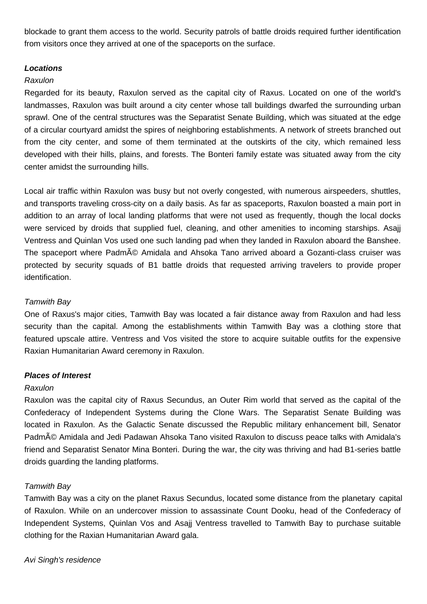blockade to grant them access to the world. Security patrols of battle droids required further identification from visitors once they arrived at one of the spaceports on the surface.

# **Locations**

# Raxulon

Regarded for its beauty, Raxulon served as the capital city of Raxus. Located on one of the world's landmasses, Raxulon was built around a city center whose tall buildings dwarfed the surrounding urban sprawl. One of the central structures was the Separatist Senate Building, which was situated at the edge of a circular courtyard amidst the spires of neighboring establishments. A network of streets branched out from the city center, and some of them terminated at the outskirts of the city, which remained less developed with their hills, plains, and forests. The Bonteri family estate was situated away from the city center amidst the surrounding hills.

Local air traffic within Raxulon was busy but not overly congested, with numerous airspeeders, shuttles, and transports traveling cross-city on a daily basis. As far as spaceports, Raxulon boasted a main port in addition to an array of local landing platforms that were not used as frequently, though the local docks were serviced by droids that supplied fuel, cleaning, and other amenities to incoming starships. Asajj Ventress and Quinlan Vos used one such landing pad when they landed in Raxulon aboard the Banshee. The spaceport where Padmé Amidala and Ahsoka Tano arrived aboard a Gozanti-class cruiser was protected by security squads of B1 battle droids that requested arriving travelers to provide proper identification.

# Tamwith Bay

One of Raxus's major cities, Tamwith Bay was located a fair distance away from Raxulon and had less security than the capital. Among the establishments within Tamwith Bay was a clothing store that featured upscale attire. Ventress and Vos visited the store to acquire suitable outfits for the expensive Raxian Humanitarian Award ceremony in Raxulon.

# **Places of Interest**

# Raxulon

Raxulon was the capital city of Raxus Secundus, an Outer Rim world that served as the capital of the Confederacy of Independent Systems during the Clone Wars. The Separatist Senate Building was located in Raxulon. As the Galactic Senate discussed the Republic military enhancement bill, Senator Padmé Amidala and Jedi Padawan Ahsoka Tano visited Raxulon to discuss peace talks with Amidala's friend and Separatist Senator Mina Bonteri. During the war, the city was thriving and had B1-series battle droids guarding the landing platforms.

# Tamwith Bay

Tamwith Bay was a city on the planet Raxus Secundus, located some distance from the planetary capital of Raxulon. While on an undercover mission to assassinate Count Dooku, head of the Confederacy of Independent Systems, Quinlan Vos and Asajj Ventress travelled to Tamwith Bay to purchase suitable clothing for the Raxian Humanitarian Award gala.